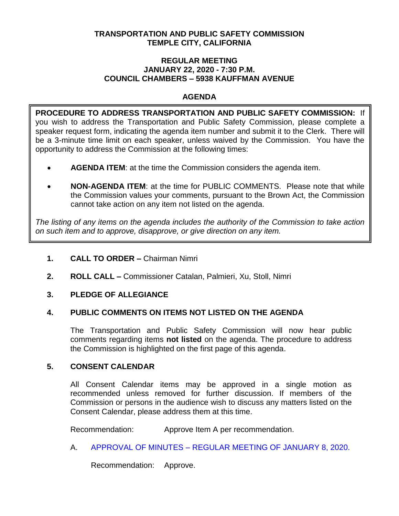### **TRANSPORTATION AND PUBLIC SAFETY COMMISSION TEMPLE CITY, CALIFORNIA**

### **REGULAR MEETING JANUARY 22, 2020 - 7:30 P.M. COUNCIL CHAMBERS – 5938 KAUFFMAN AVENUE**

# **AGENDA**

**PROCEDURE TO ADDRESS TRANSPORTATION AND PUBLIC SAFETY COMMISSION:** If you wish to address the Transportation and Public Safety Commission, please complete a speaker request form, indicating the agenda item number and submit it to the Clerk. There will be a 3-minute time limit on each speaker, unless waived by the Commission. You have the opportunity to address the Commission at the following times:

- **AGENDA ITEM**: at the time the Commission considers the agenda item.
- **NON-AGENDA ITEM**: at the time for PUBLIC COMMENTS. Please note that while the Commission values your comments, pursuant to the Brown Act, the Commission cannot take action on any item not listed on the agenda.

*The listing of any items on the agenda includes the authority of the Commission to take action on such item and to approve, disapprove, or give direction on any item.*

# **1. CALL TO ORDER –** Chairman Nimri

**2. ROLL CALL –** Commissioner Catalan, Palmieri, Xu, Stoll, Nimri

### **3. PLEDGE OF ALLEGIANCE**

### **4. PUBLIC COMMENTS ON ITEMS NOT LISTED ON THE AGENDA**

The Transportation and Public Safety Commission will now hear public comments regarding items **not listed** on the agenda. The procedure to address the Commission is highlighted on the first page of this agenda.

### **5. CONSENT CALENDAR**

All Consent Calendar items may be approved in a single motion as recommended unless removed for further discussion. If members of the Commission or persons in the audience wish to discuss any matters listed on the Consent Calendar, please address them at this time.

Recommendation: Approve Item A per recommendation.

A. APPROVAL OF MINUTES – [REGULAR MEETING OF JANUARY 8, 2020.](https://ca-templecity.civicplus.com/DocumentCenter/View/13744/TPSC-min-2020-01-08)

Recommendation: Approve.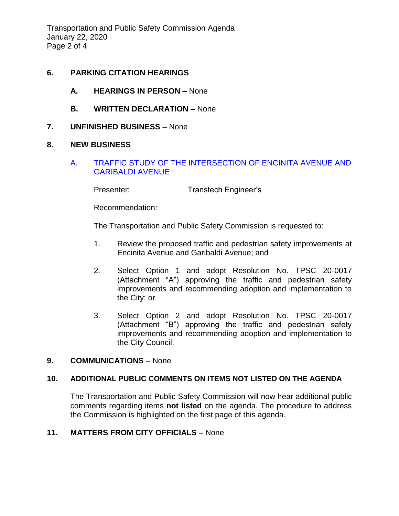Transportation and Public Safety Commission Agenda January 22, 2020 Page 2 of 4

# **6. PARKING CITATION HEARINGS**

- **A. HEARINGS IN PERSON –** None
- **B. WRITTEN DECLARATION –** None
- **7. UNFINISHED BUSINESS** None

### **8. NEW BUSINESS**

A. [TRAFFIC STUDY OF THE INTERSECTION OF ENCINITA AVENUE AND](/DocumentCenter/View/13743/2020-01-22-Traffic-Study-of-The-Intersection-of-Encinita-ave-and-Garibaldi-Ave)  [GARIBALDI AVENUE](/DocumentCenter/View/13743/2020-01-22-Traffic-Study-of-The-Intersection-of-Encinita-ave-and-Garibaldi-Ave)

Presenter: Transtech Engineer's

Recommendation:

The Transportation and Public Safety Commission is requested to:

- 1. Review the proposed traffic and pedestrian safety improvements at Encinita Avenue and Garibaldi Avenue; and
- 2. Select Option 1 and adopt Resolution No. TPSC 20-0017 (Attachment "A") approving the traffic and pedestrian safety improvements and recommending adoption and implementation to the City; or
- 3. Select Option 2 and adopt Resolution No. TPSC 20-0017 (Attachment "B") approving the traffic and pedestrian safety improvements and recommending adoption and implementation to the City Council.

#### **9. COMMUNICATIONS** – None

### **10. ADDITIONAL PUBLIC COMMENTS ON ITEMS NOT LISTED ON THE AGENDA**

The Transportation and Public Safety Commission will now hear additional public comments regarding items **not listed** on the agenda. The procedure to address the Commission is highlighted on the first page of this agenda.

### **11. MATTERS FROM CITY OFFICIALS –** None